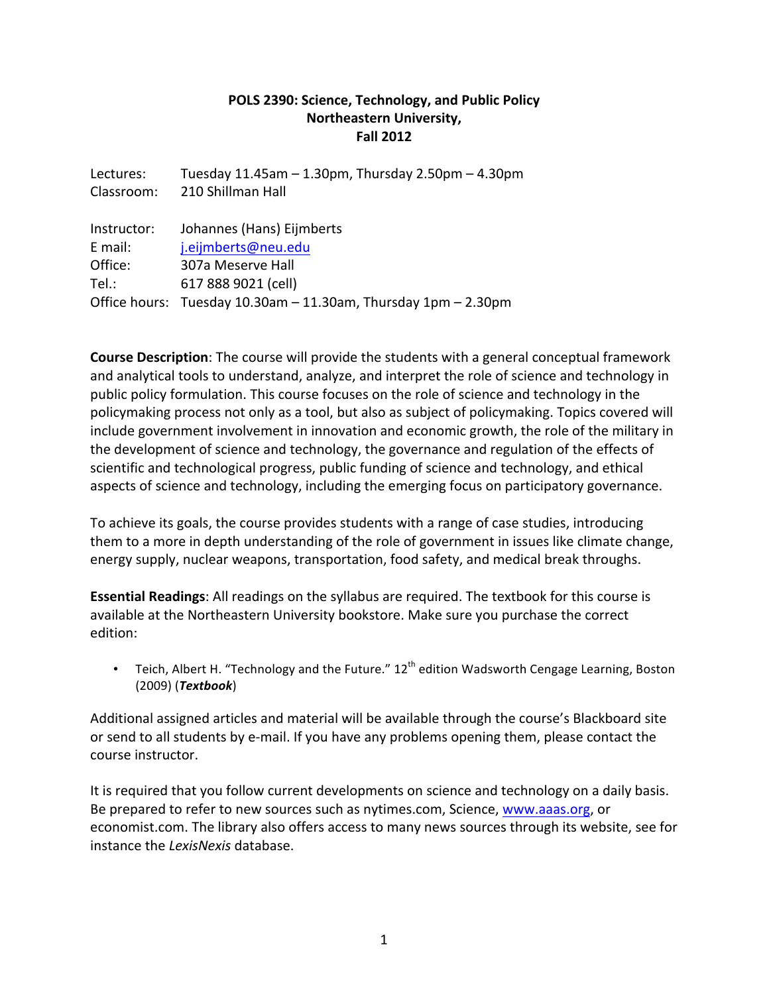## POLS 2390: Science, Technology, and Public Policy **Northeastern University, Fall 2012**

| Lectures:   | Tuesday 11.45am - 1.30pm, Thursday 2.50pm - 4.30pm             |
|-------------|----------------------------------------------------------------|
| Classroom:  | 210 Shillman Hall                                              |
|             |                                                                |
| Instructor: | Johannes (Hans) Eijmberts                                      |
| E mail:     | j.eijmberts@neu.edu                                            |
| Office:     | 307a Meserve Hall                                              |
| Tel.:       | 617 888 9021 (cell)                                            |
|             | Office hours: Tuesday 10.30am - 11.30am, Thursday 1pm - 2.30pm |

**Course Description**: The course will provide the students with a general conceptual framework and analytical tools to understand, analyze, and interpret the role of science and technology in public policy formulation. This course focuses on the role of science and technology in the policymaking process not only as a tool, but also as subject of policymaking. Topics covered will include government involvement in innovation and economic growth, the role of the military in the development of science and technology, the governance and regulation of the effects of scientific and technological progress, public funding of science and technology, and ethical aspects of science and technology, including the emerging focus on participatory governance.

To achieve its goals, the course provides students with a range of case studies, introducing them to a more in depth understanding of the role of government in issues like climate change, energy supply, nuclear weapons, transportation, food safety, and medical break throughs.

**Essential Readings:** All readings on the syllabus are required. The textbook for this course is available at the Northeastern University bookstore. Make sure you purchase the correct edition:

• Teich, Albert H. "Technology and the Future."  $12<sup>th</sup>$  edition Wadsworth Cengage Learning, Boston (2009) (*Textbook*)

Additional assigned articles and material will be available through the course's Blackboard site or send to all students by e-mail. If you have any problems opening them, please contact the course instructor.

It is required that you follow current developments on science and technology on a daily basis. Be prepared to refer to new sources such as nytimes.com, Science, www.aaas.org, or economist.com. The library also offers access to many news sources through its website, see for instance the *LexisNexis* database.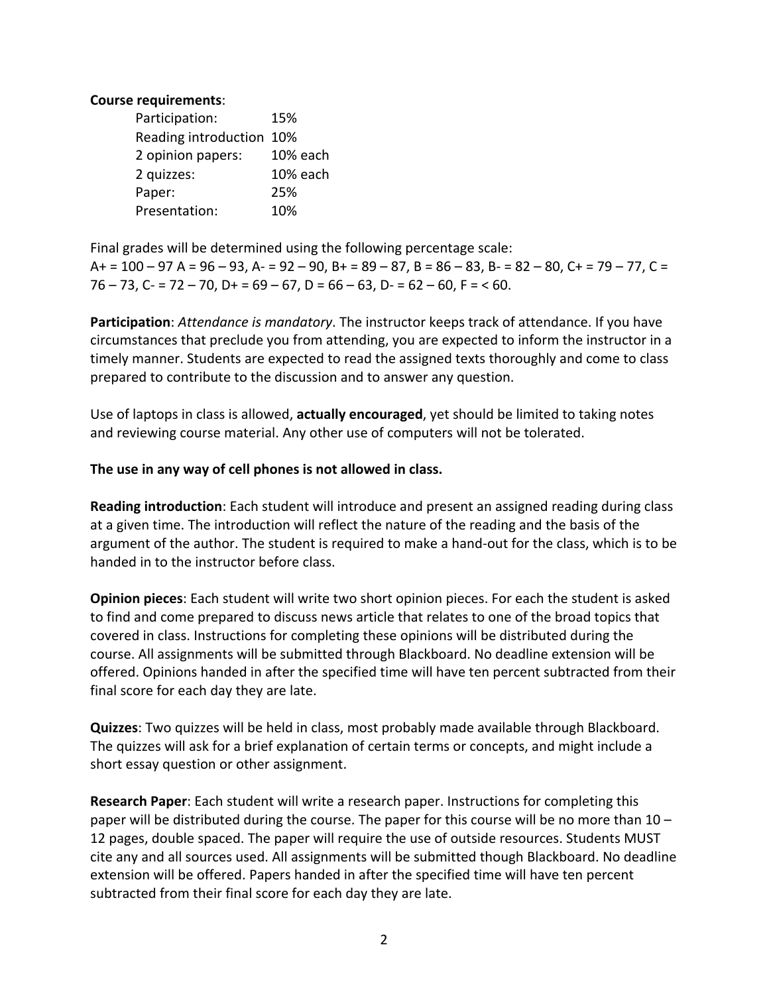#### **Course requirements:**

| Participation:           | 15%      |
|--------------------------|----------|
| Reading introduction 10% |          |
| 2 opinion papers:        | 10% each |
| 2 quizzes:               | 10% each |
| Paper:                   | 25%      |
| Presentation:            | 10%      |

Final grades will be determined using the following percentage scale:  $A+ = 100 - 97$  A =  $96 - 93$ , A =  $92 - 90$ , B + =  $89 - 87$ , B =  $86 - 83$ , B =  $82 - 80$ , C + =  $79 - 77$ , C =  $76 - 73$ , C- =  $72 - 70$ , D+ =  $69 - 67$ , D =  $66 - 63$ , D- =  $62 - 60$ , F = < 60.

**Participation**: *Attendance is mandatory*. The instructor keeps track of attendance. If you have circumstances that preclude you from attending, you are expected to inform the instructor in a timely manner. Students are expected to read the assigned texts thoroughly and come to class prepared to contribute to the discussion and to answer any question.

Use of laptops in class is allowed, **actually encouraged**, yet should be limited to taking notes and reviewing course material. Any other use of computers will not be tolerated.

### The use in any way of cell phones is not allowed in class.

**Reading introduction**: Each student will introduce and present an assigned reading during class at a given time. The introduction will reflect the nature of the reading and the basis of the argument of the author. The student is required to make a hand-out for the class, which is to be handed in to the instructor before class.

**Opinion pieces**: Each student will write two short opinion pieces. For each the student is asked to find and come prepared to discuss news article that relates to one of the broad topics that covered in class. Instructions for completing these opinions will be distributed during the course. All assignments will be submitted through Blackboard. No deadline extension will be offered. Opinions handed in after the specified time will have ten percent subtracted from their final score for each day they are late.

**Quizzes**: Two quizzes will be held in class, most probably made available through Blackboard. The quizzes will ask for a brief explanation of certain terms or concepts, and might include a short essay question or other assignment.

**Research Paper**: Each student will write a research paper. Instructions for completing this paper will be distributed during the course. The paper for this course will be no more than 10 – 12 pages, double spaced. The paper will require the use of outside resources. Students MUST cite any and all sources used. All assignments will be submitted though Blackboard. No deadline extension will be offered. Papers handed in after the specified time will have ten percent subtracted from their final score for each day they are late.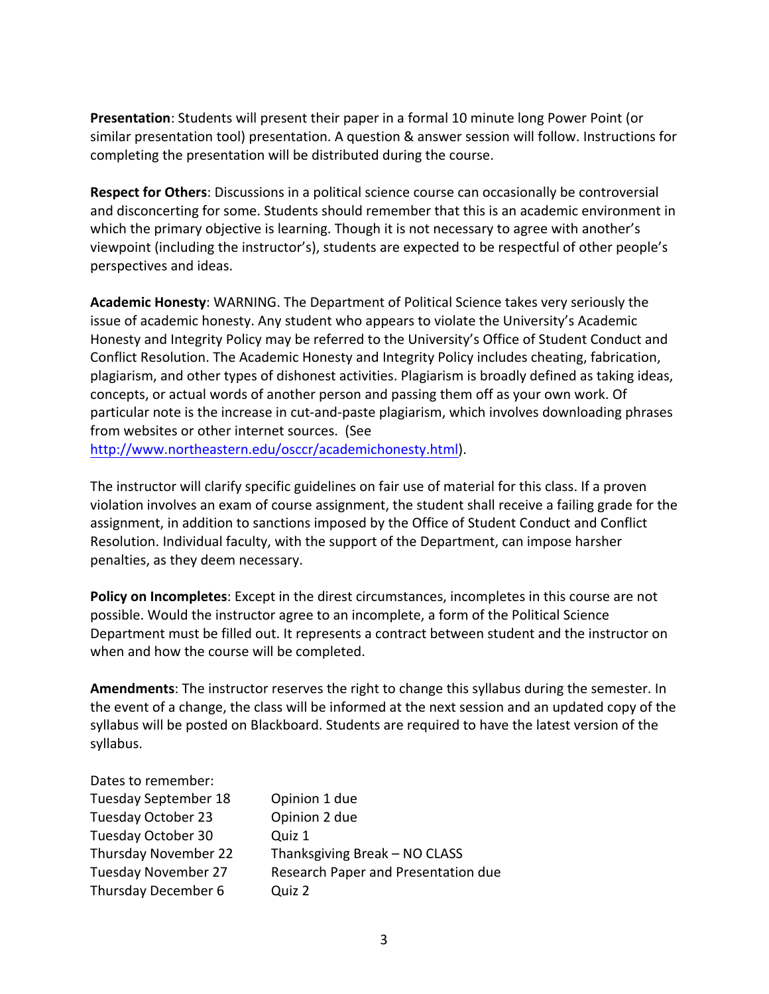**Presentation**: Students will present their paper in a formal 10 minute long Power Point (or similar presentation tool) presentation. A question & answer session will follow. Instructions for completing the presentation will be distributed during the course.

**Respect for Others**: Discussions in a political science course can occasionally be controversial and disconcerting for some. Students should remember that this is an academic environment in which the primary objective is learning. Though it is not necessary to agree with another's viewpoint (including the instructor's), students are expected to be respectful of other people's perspectives and ideas.

**Academic Honesty:** WARNING. The Department of Political Science takes very seriously the issue of academic honesty. Any student who appears to violate the University's Academic Honesty and Integrity Policy may be referred to the University's Office of Student Conduct and Conflict Resolution. The Academic Honesty and Integrity Policy includes cheating, fabrication, plagiarism, and other types of dishonest activities. Plagiarism is broadly defined as taking ideas, concepts, or actual words of another person and passing them off as your own work. Of particular note is the increase in cut-and-paste plagiarism, which involves downloading phrases from websites or other internet sources. (See

http://www.northeastern.edu/osccr/academichonesty.html).

The instructor will clarify specific guidelines on fair use of material for this class. If a proven violation involves an exam of course assignment, the student shall receive a failing grade for the assignment, in addition to sanctions imposed by the Office of Student Conduct and Conflict Resolution. Individual faculty, with the support of the Department, can impose harsher penalties, as they deem necessary.

**Policy on Incompletes**: Except in the direst circumstances, incompletes in this course are not possible. Would the instructor agree to an incomplete, a form of the Political Science Department must be filled out. It represents a contract between student and the instructor on when and how the course will be completed.

**Amendments:** The instructor reserves the right to change this syllabus during the semester. In the event of a change, the class will be informed at the next session and an updated copy of the syllabus will be posted on Blackboard. Students are required to have the latest version of the syllabus.

| Dates to remember:          |                                     |
|-----------------------------|-------------------------------------|
| <b>Tuesday September 18</b> | Opinion 1 due                       |
| Tuesday October 23          | Opinion 2 due                       |
| Tuesday October 30          | Quiz 1                              |
| Thursday November 22        | Thanksgiving Break - NO CLASS       |
| <b>Tuesday November 27</b>  | Research Paper and Presentation due |
| Thursday December 6         | Quiz 2                              |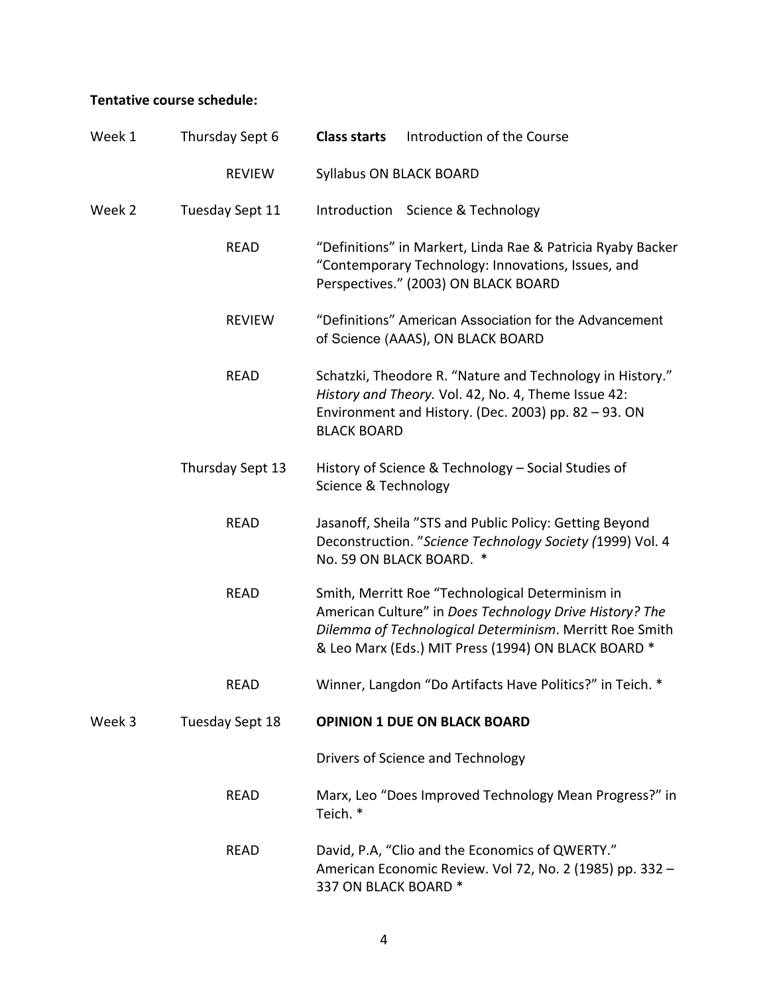# Tentative course schedule:

| Week 1 | Thursday Sept 6  | Introduction of the Course<br><b>Class starts</b>                                                                                                                                                                             |
|--------|------------------|-------------------------------------------------------------------------------------------------------------------------------------------------------------------------------------------------------------------------------|
|        | <b>REVIEW</b>    | Syllabus ON BLACK BOARD                                                                                                                                                                                                       |
| Week 2 | Tuesday Sept 11  | Introduction Science & Technology                                                                                                                                                                                             |
|        | <b>READ</b>      | "Definitions" in Markert, Linda Rae & Patricia Ryaby Backer<br>"Contemporary Technology: Innovations, Issues, and<br>Perspectives." (2003) ON BLACK BOARD                                                                     |
|        | <b>REVIEW</b>    | "Definitions" American Association for the Advancement<br>of Science (AAAS), ON BLACK BOARD                                                                                                                                   |
|        | <b>READ</b>      | Schatzki, Theodore R. "Nature and Technology in History."<br>History and Theory. Vol. 42, No. 4, Theme Issue 42:<br>Environment and History. (Dec. 2003) pp. 82 - 93. ON<br><b>BLACK BOARD</b>                                |
|        | Thursday Sept 13 | History of Science & Technology - Social Studies of<br>Science & Technology                                                                                                                                                   |
|        | <b>READ</b>      | Jasanoff, Sheila "STS and Public Policy: Getting Beyond<br>Deconstruction. "Science Technology Society (1999) Vol. 4<br>No. 59 ON BLACK BOARD. *                                                                              |
|        | <b>READ</b>      | Smith, Merritt Roe "Technological Determinism in<br>American Culture" in Does Technology Drive History? The<br>Dilemma of Technological Determinism. Merritt Roe Smith<br>& Leo Marx (Eds.) MIT Press (1994) ON BLACK BOARD * |
|        | READ             | Winner, Langdon "Do Artifacts Have Politics?" in Teich. *                                                                                                                                                                     |
| Week 3 | Tuesday Sept 18  | <b>OPINION 1 DUE ON BLACK BOARD</b>                                                                                                                                                                                           |
|        |                  | Drivers of Science and Technology                                                                                                                                                                                             |
|        | <b>READ</b>      | Marx, Leo "Does Improved Technology Mean Progress?" in<br>Teich. *                                                                                                                                                            |
|        | <b>READ</b>      | David, P.A, "Clio and the Economics of QWERTY."<br>American Economic Review. Vol 72, No. 2 (1985) pp. 332 -<br>337 ON BLACK BOARD *                                                                                           |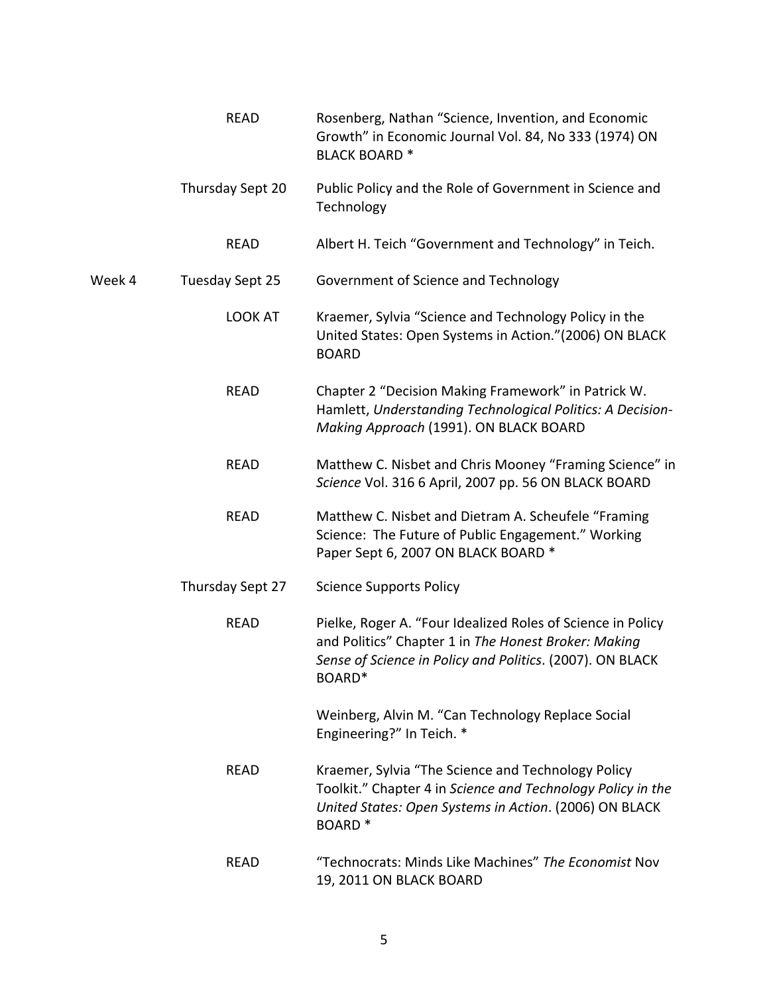|        | <b>READ</b>      | Rosenberg, Nathan "Science, Invention, and Economic<br>Growth" in Economic Journal Vol. 84, No 333 (1974) ON<br><b>BLACK BOARD*</b>                                                               |
|--------|------------------|---------------------------------------------------------------------------------------------------------------------------------------------------------------------------------------------------|
|        | Thursday Sept 20 | Public Policy and the Role of Government in Science and<br>Technology                                                                                                                             |
|        | <b>READ</b>      | Albert H. Teich "Government and Technology" in Teich.                                                                                                                                             |
| Week 4 | Tuesday Sept 25  | Government of Science and Technology                                                                                                                                                              |
|        | LOOK AT          | Kraemer, Sylvia "Science and Technology Policy in the<br>United States: Open Systems in Action." (2006) ON BLACK<br><b>BOARD</b>                                                                  |
|        | <b>READ</b>      | Chapter 2 "Decision Making Framework" in Patrick W.<br>Hamlett, Understanding Technological Politics: A Decision-<br>Making Approach (1991). ON BLACK BOARD                                       |
|        | <b>READ</b>      | Matthew C. Nisbet and Chris Mooney "Framing Science" in<br>Science Vol. 316 6 April, 2007 pp. 56 ON BLACK BOARD                                                                                   |
|        | <b>READ</b>      | Matthew C. Nisbet and Dietram A. Scheufele "Framing<br>Science: The Future of Public Engagement." Working<br>Paper Sept 6, 2007 ON BLACK BOARD *                                                  |
|        | Thursday Sept 27 | <b>Science Supports Policy</b>                                                                                                                                                                    |
|        | <b>READ</b>      | Pielke, Roger A. "Four Idealized Roles of Science in Policy<br>and Politics" Chapter 1 in The Honest Broker: Making<br>Sense of Science in Policy and Politics. (2007). ON BLACK<br>BOARD*        |
|        |                  | Weinberg, Alvin M. "Can Technology Replace Social<br>Engineering?" In Teich. *                                                                                                                    |
|        | <b>READ</b>      | Kraemer, Sylvia "The Science and Technology Policy<br>Toolkit." Chapter 4 in Science and Technology Policy in the<br>United States: Open Systems in Action. (2006) ON BLACK<br>BOARD <sup>*</sup> |
|        | <b>READ</b>      | "Technocrats: Minds Like Machines" The Economist Nov<br>19, 2011 ON BLACK BOARD                                                                                                                   |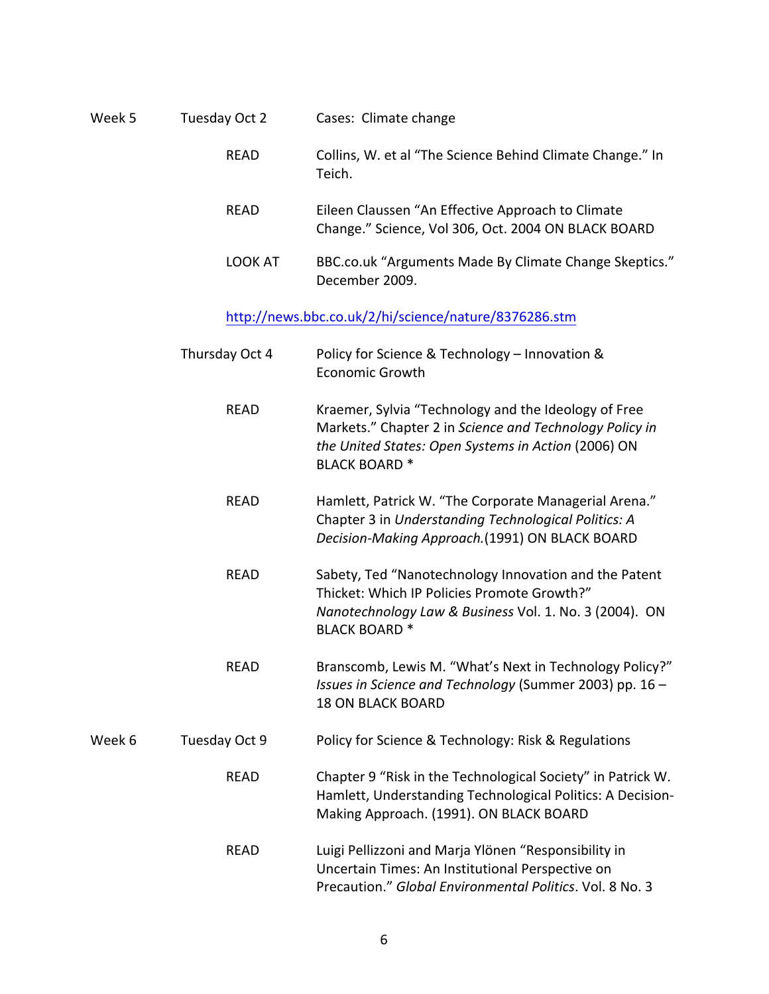| Week 5 | Tuesday Oct 2  | Cases: Climate change                                                                                                                                                                         |
|--------|----------------|-----------------------------------------------------------------------------------------------------------------------------------------------------------------------------------------------|
|        | <b>READ</b>    | Collins, W. et al "The Science Behind Climate Change." In<br>Teich.                                                                                                                           |
|        | <b>READ</b>    | Eileen Claussen "An Effective Approach to Climate<br>Change." Science, Vol 306, Oct. 2004 ON BLACK BOARD                                                                                      |
|        | <b>LOOK AT</b> | BBC.co.uk "Arguments Made By Climate Change Skeptics."<br>December 2009.                                                                                                                      |
|        |                | http://news.bbc.co.uk/2/hi/science/nature/8376286.stm                                                                                                                                         |
|        | Thursday Oct 4 | Policy for Science & Technology - Innovation &<br><b>Economic Growth</b>                                                                                                                      |
|        | <b>READ</b>    | Kraemer, Sylvia "Technology and the Ideology of Free<br>Markets." Chapter 2 in Science and Technology Policy in<br>the United States: Open Systems in Action (2006) ON<br><b>BLACK BOARD*</b> |
|        | <b>READ</b>    | Hamlett, Patrick W. "The Corporate Managerial Arena."<br>Chapter 3 in Understanding Technological Politics: A<br>Decision-Making Approach.(1991) ON BLACK BOARD                               |
|        | <b>READ</b>    | Sabety, Ted "Nanotechnology Innovation and the Patent<br>Thicket: Which IP Policies Promote Growth?"<br>Nanotechnology Law & Business Vol. 1. No. 3 (2004). ON<br><b>BLACK BOARD*</b>         |
|        | <b>READ</b>    | Branscomb, Lewis M. "What's Next in Technology Policy?"<br>Issues in Science and Technology (Summer 2003) pp. 16 -<br><b>18 ON BLACK BOARD</b>                                                |
| Week 6 | Tuesday Oct 9  | Policy for Science & Technology: Risk & Regulations                                                                                                                                           |
|        | <b>READ</b>    | Chapter 9 "Risk in the Technological Society" in Patrick W.<br>Hamlett, Understanding Technological Politics: A Decision-<br>Making Approach. (1991). ON BLACK BOARD                          |
|        |                |                                                                                                                                                                                               |

READ Luigi Pellizzoni and Marja Ylönen "Responsibility in Uncertain Times: An Institutional Perspective on Precaution." Global Environmental Politics. Vol. 8 No. 3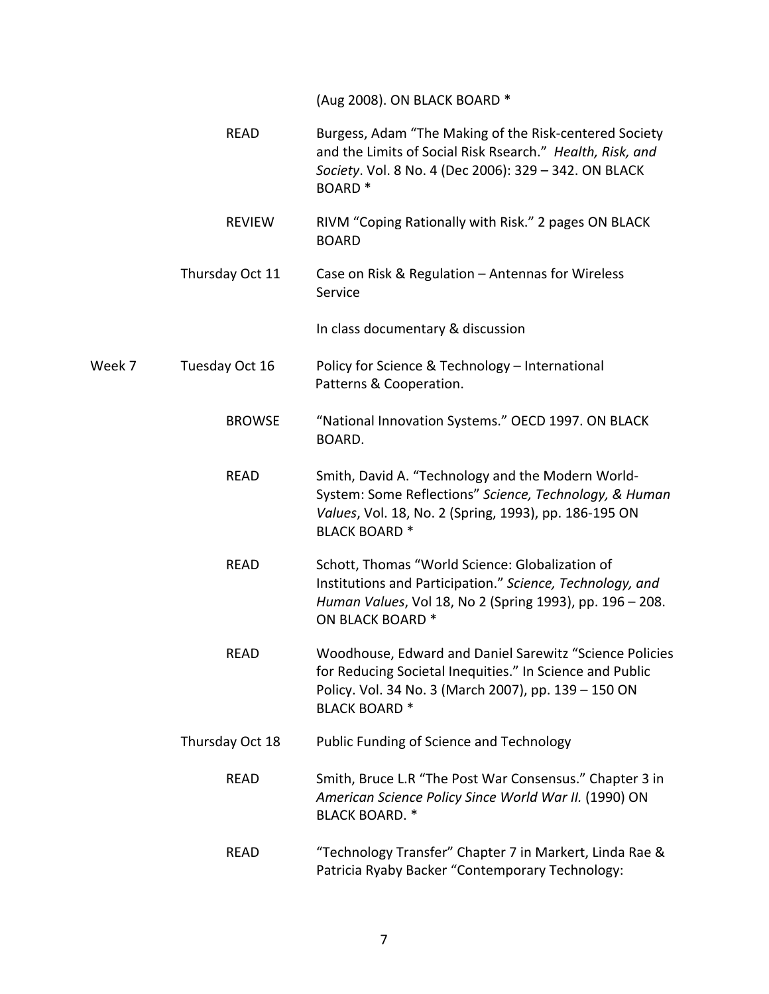(Aug 2008). ON BLACK BOARD \*

|        | <b>READ</b>     | Burgess, Adam "The Making of the Risk-centered Society<br>and the Limits of Social Risk Rsearch." Health, Risk, and<br>Society. Vol. 8 No. 4 (Dec 2006): 329 - 342. ON BLACK<br>BOARD <sup>*</sup> |
|--------|-----------------|----------------------------------------------------------------------------------------------------------------------------------------------------------------------------------------------------|
|        | <b>REVIEW</b>   | RIVM "Coping Rationally with Risk." 2 pages ON BLACK<br><b>BOARD</b>                                                                                                                               |
|        | Thursday Oct 11 | Case on Risk & Regulation - Antennas for Wireless<br>Service                                                                                                                                       |
|        |                 | In class documentary & discussion                                                                                                                                                                  |
| Week 7 | Tuesday Oct 16  | Policy for Science & Technology - International<br>Patterns & Cooperation.                                                                                                                         |
|        | <b>BROWSE</b>   | "National Innovation Systems." OECD 1997. ON BLACK<br>BOARD.                                                                                                                                       |
|        | <b>READ</b>     | Smith, David A. "Technology and the Modern World-<br>System: Some Reflections" Science, Technology, & Human<br>Values, Vol. 18, No. 2 (Spring, 1993), pp. 186-195 ON<br><b>BLACK BOARD*</b>        |
|        | <b>READ</b>     | Schott, Thomas "World Science: Globalization of<br>Institutions and Participation." Science, Technology, and<br>Human Values, Vol 18, No 2 (Spring 1993), pp. 196 - 208.<br>ON BLACK BOARD *       |
|        | <b>READ</b>     | Woodhouse, Edward and Daniel Sarewitz "Science Policies<br>for Reducing Societal Inequities." In Science and Public<br>Policy. Vol. 34 No. 3 (March 2007), pp. 139 - 150 ON<br><b>BLACK BOARD*</b> |
|        | Thursday Oct 18 | Public Funding of Science and Technology                                                                                                                                                           |
|        | <b>READ</b>     | Smith, Bruce L.R "The Post War Consensus." Chapter 3 in<br>American Science Policy Since World War II. (1990) ON<br><b>BLACK BOARD. *</b>                                                          |
|        | <b>READ</b>     | "Technology Transfer" Chapter 7 in Markert, Linda Rae &<br>Patricia Ryaby Backer "Contemporary Technology:                                                                                         |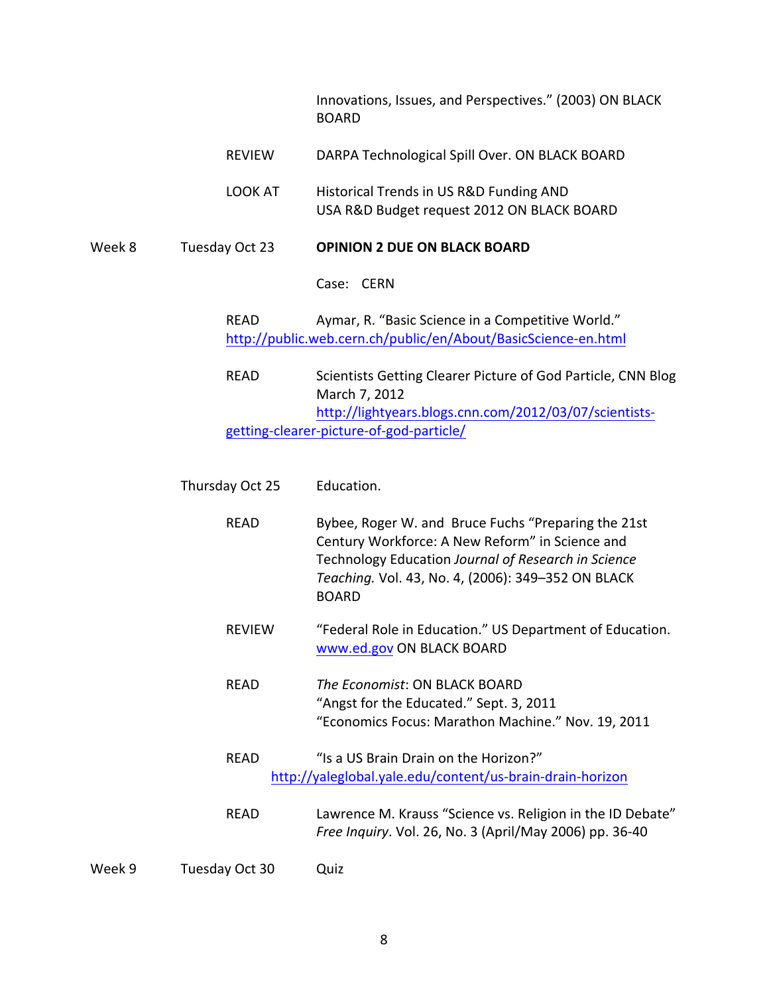|        |                 | Innovations, Issues, and Perspectives." (2003) ON BLACK<br><b>BOARD</b>                                                                                                                                                             |
|--------|-----------------|-------------------------------------------------------------------------------------------------------------------------------------------------------------------------------------------------------------------------------------|
|        | <b>REVIEW</b>   | DARPA Technological Spill Over. ON BLACK BOARD                                                                                                                                                                                      |
|        | LOOK AT         | Historical Trends in US R&D Funding AND<br>USA R&D Budget request 2012 ON BLACK BOARD                                                                                                                                               |
| Week 8 | Tuesday Oct 23  | <b>OPINION 2 DUE ON BLACK BOARD</b>                                                                                                                                                                                                 |
|        |                 | Case: CERN                                                                                                                                                                                                                          |
|        | <b>READ</b>     | Aymar, R. "Basic Science in a Competitive World."<br>http://public.web.cern.ch/public/en/About/BasicScience-en.html                                                                                                                 |
|        | <b>READ</b>     | Scientists Getting Clearer Picture of God Particle, CNN Blog<br>March 7, 2012                                                                                                                                                       |
|        |                 | http://lightyears.blogs.cnn.com/2012/03/07/scientists-<br>getting-clearer-picture-of-god-particle/                                                                                                                                  |
|        | Thursday Oct 25 | Education.                                                                                                                                                                                                                          |
|        | <b>READ</b>     | Bybee, Roger W. and Bruce Fuchs "Preparing the 21st<br>Century Workforce: A New Reform" in Science and<br>Technology Education Journal of Research in Science<br>Teaching. Vol. 43, No. 4, (2006): 349-352 ON BLACK<br><b>BOARD</b> |
|        | <b>REVIEW</b>   | "Federal Role in Education." US Department of Education.<br>www.ed.gov ON BLACK BOARD                                                                                                                                               |
|        | <b>READ</b>     | The Economist: ON BLACK BOARD<br>"Angst for the Educated." Sept. 3, 2011                                                                                                                                                            |

- READ "Is a US Brain Drain on the Horizon?" http://yaleglobal.yale.edu/content/us-brain-drain-horizon
- READ Lawrence M. Krauss "Science vs. Religion in the ID Debate" *Free Inquiry*. Vol. 26, No. 3 (April/May 2006) pp. 36-40

"Economics Focus: Marathon Machine." Nov. 19, 2011

Week 9 Tuesday Oct 30 Quiz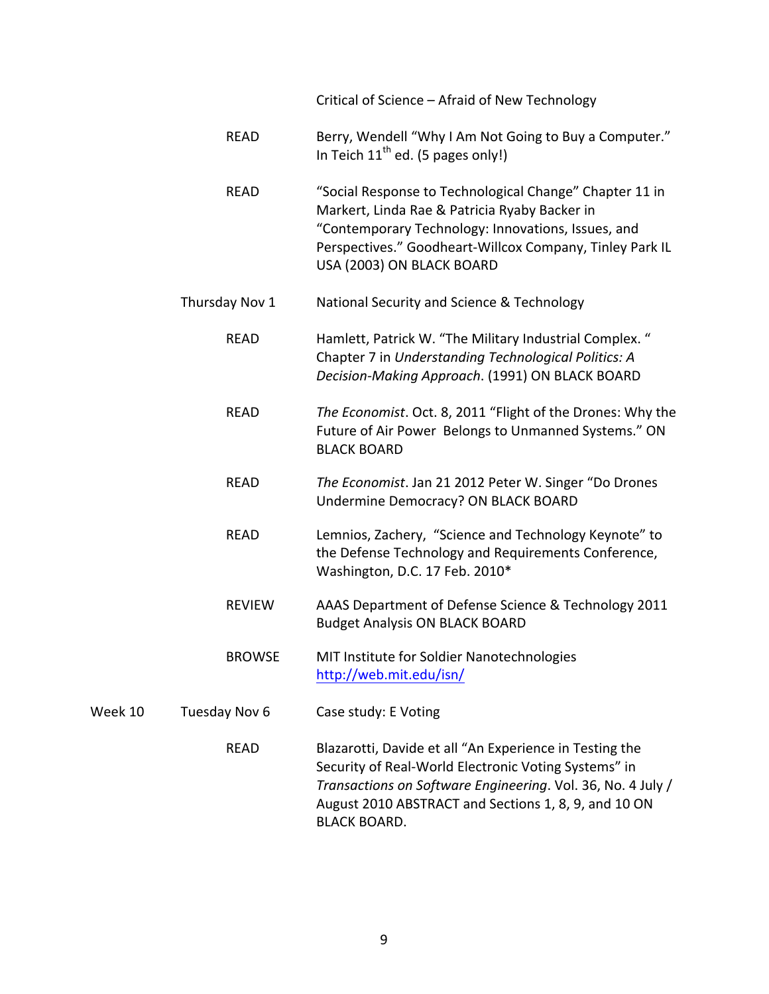Critical of Science – Afraid of New Technology

- READ Berry, Wendell "Why I Am Not Going to Buy a Computer." In Teich  $11^{th}$  ed. (5 pages only!)
- READ "Social Response to Technological Change" Chapter 11 in Markert, Linda Rae & Patricia Ryaby Backer in "Contemporary Technology: Innovations, Issues, and Perspectives." Goodheart-Willcox Company, Tinley Park IL USA (2003) ON BLACK BOARD
- Thursday Nov 1 National Security and Science & Technology
	- READ Hamlett, Patrick W. "The Military Industrial Complex." Chapter 7 in *Understanding Technological Politics: A Decision-Making Approach*. (1991) ON BLACK BOARD
		- READ *The Economist*. Oct. 8, 2011 "Flight of the Drones: Why the Future of Air Power Belongs to Unmanned Systems." ON **BLACK BOARD**
		- READ The Economist. Jan 21 2012 Peter W. Singer "Do Drones Undermine Democracy? ON BLACK BOARD
		- READ Lemnios, Zachery, "Science and Technology Keynote" to the Defense Technology and Requirements Conference, Washington, D.C. 17 Feb. 2010\*
		- REVIEW AAAS Department of Defense Science & Technology 2011 **Budget Analysis ON BLACK BOARD**
		- BROWSE MIT Institute for Soldier Nanotechnologies http://web.mit.edu/isn/

### Week 10 Tuesday Nov 6 Case study: E Voting

READ Blazarotti, Davide et all "An Experience in Testing the Security of Real-World Electronic Voting Systems" in *Transactions on Software Engineering.* Vol. 36, No. 4 July / August 2010 ABSTRACT and Sections 1, 8, 9, and 10 ON **BLACK BOARD.**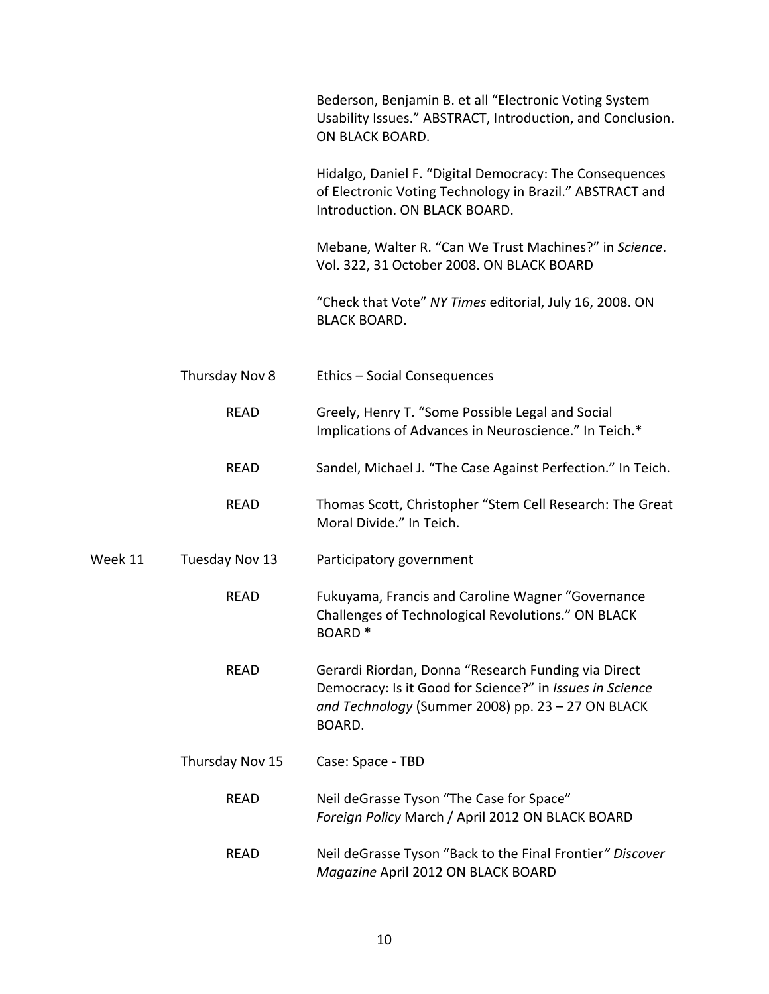|         |                 | Bederson, Benjamin B. et all "Electronic Voting System<br>Usability Issues." ABSTRACT, Introduction, and Conclusion.<br>ON BLACK BOARD.                                        |
|---------|-----------------|--------------------------------------------------------------------------------------------------------------------------------------------------------------------------------|
|         |                 | Hidalgo, Daniel F. "Digital Democracy: The Consequences<br>of Electronic Voting Technology in Brazil." ABSTRACT and<br>Introduction. ON BLACK BOARD.                           |
|         |                 | Mebane, Walter R. "Can We Trust Machines?" in Science.<br>Vol. 322, 31 October 2008. ON BLACK BOARD                                                                            |
|         |                 | "Check that Vote" NY Times editorial, July 16, 2008. ON<br><b>BLACK BOARD.</b>                                                                                                 |
|         | Thursday Nov 8  | Ethics - Social Consequences                                                                                                                                                   |
|         | <b>READ</b>     | Greely, Henry T. "Some Possible Legal and Social<br>Implications of Advances in Neuroscience." In Teich.*                                                                      |
|         | <b>READ</b>     | Sandel, Michael J. "The Case Against Perfection." In Teich.                                                                                                                    |
|         | <b>READ</b>     | Thomas Scott, Christopher "Stem Cell Research: The Great<br>Moral Divide." In Teich.                                                                                           |
| Week 11 | Tuesday Nov 13  | Participatory government                                                                                                                                                       |
|         | <b>READ</b>     | Fukuyama, Francis and Caroline Wagner "Governance<br>Challenges of Technological Revolutions." ON BLACK<br><b>BOARD*</b>                                                       |
|         | <b>READ</b>     | Gerardi Riordan, Donna "Research Funding via Direct<br>Democracy: Is it Good for Science?" in Issues in Science<br>and Technology (Summer 2008) pp. 23 - 27 ON BLACK<br>BOARD. |
|         | Thursday Nov 15 | Case: Space - TBD                                                                                                                                                              |
|         | <b>READ</b>     | Neil deGrasse Tyson "The Case for Space"<br>Foreign Policy March / April 2012 ON BLACK BOARD                                                                                   |
|         | <b>READ</b>     | Neil deGrasse Tyson "Back to the Final Frontier" Discover<br>Magazine April 2012 ON BLACK BOARD                                                                                |